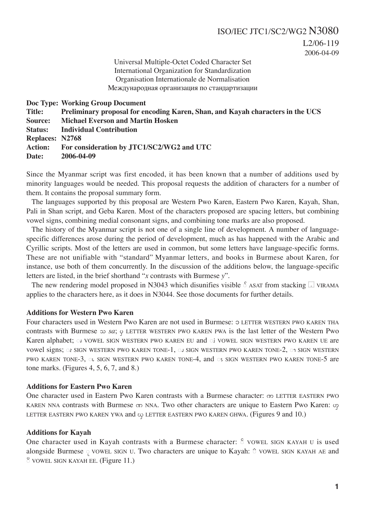Universal Multiple-Octet Coded Character Set International Organization for Standardization Organisation Internationale de Normalisation Международная организация по стандартизации

**Doc Type: Working Group Document Title: Preliminary proposal for encoding Karen, Shan, and Kayah characters in the UCS Source: Michael Everson and Martin Hosken Status: Individual Contribution Replaces: N2768 Action: For consideration by JTC1/SC2/WG2 and UTC Date: 2006-04-09**

Since the Myanmar script was first encoded, it has been known that a number of additions used by minority languages would be needed. This proposal requests the addition of characters for a number of them. It contains the proposal summary form.

The languages supported by this proposal are Western Pwo Karen, Eastern Pwo Karen, Kayah, Shan, Pali in Shan script, and Geba Karen. Most of the characters proposed are spacing letters, but combining vowel signs, combining medial consonant signs, and combining tone marks are also proposed.

The history of the Myanmar script is not one of a single line of development. A number of languagespecific differences arose during the period of development, much as has happened with the Arabic and Cyrillic scripts. Most of the letters are used in common, but some letters have language-specific forms. These are not unifiable with "standard" Myanmar letters, and books in Burmese about Karen, for instance, use both of them concurrently. In the discussion of the additions below, the language-specific letters are listed, in the brief shorthand "*x* contrasts with Burmese *y*".

The new rendering model proposed in N3043 which disunifies visible  $\frac{5}{10}$  ASAT from stacking π VIRAMA applies to the characters here, as it does in N3044. See those documents for further details.

## **Additions for Western Pwo Karen**

Four characters used in Western Pwo Karen are not used in Burmese:  $\circ$  LETTER WESTERN PWO KAREN THA contrasts with Burmese  $\infty$  *sa*;  $\varphi$  LETTER WESTERN PWO KAREN PWA is the last letter of the Western Pwo Karen alphabet;  $\circ$  vowel sign western pwo karen eu and  $\circ$  vowel sign western pwo karen ue are vowel signs;  $\infty$  SIGN WESTERN PWO KAREN TONE-1,  $\infty$  SIGN WESTERN PWO KAREN TONE-2,  $\infty$  SIGN WESTERN PWO KAREN TONE-3, at SIGN WESTERN PWO KAREN TONE-4, and as SIGN WESTERN PWO KAREN TONE-5 are tone marks. (Figures 4, 5, 6, 7, and 8.)

### **Additions for Eastern Pwo Karen**

One character used in Eastern Pwo Karen contrasts with a Burmese character:  $\infty$  LETTER EASTERN PWO KAREN NNA contrasts with Burmese op NNA. Two other characters are unique to Eastern Pwo Karen:  $\varphi$ LETTER EASTERN PWO KAREN YWA and  $\infty$  LETTER EASTERN PWO KAREN GHWA. (Figures 9 and 10.)

### **Additions for Kayah**

One character used in Kayah contrasts with a Burmese character:  $\delta$  VOWEL SIGN KAYAH U is used alongside Burmese  $\circ$  vowel sign u. Two characters are unique to Kayah:  $\circ$  vowel sign KAYAH AE and @Û VOWEL SIGN KAYAH EE. (Figure 11.)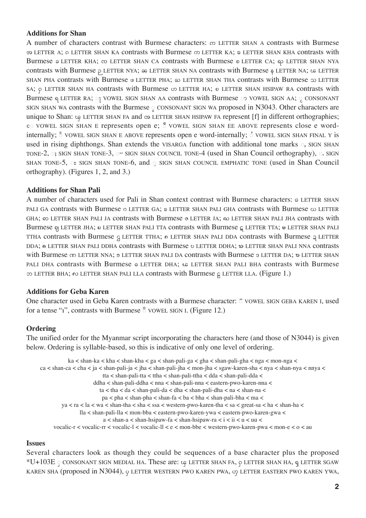## **Additions for Shan**

A number of characters contrast with Burmese characters:  $\infty$  LETTER SHAN A contrasts with Burmese 33 LETTER A; o LETTER SHAN KA contrasts with Burmese  $\infty$  LETTER KA; a LETTER SHAN KHA contrasts with Burmese  $\circ$  LETTER KHA;  $\circ$  LETTER SHAN CA contrasts with Burmese  $\circ$  LETTER CA;  $\circ$  LETTER SHAN NYA contrasts with Burmese  $\beta$  LETTER NYA;  $\approx$  LETTER SHAN NA contrasts with Burmese  $\beta$  LETTER NA;  $\infty$  LETTER SHAN PHA contrasts with Burmese  $\omega$  LETTER PHA;  $\omega$  LETTER SHAN THA contrasts with Burmese  $\infty$  LETTER SA;  $\rho$  LETTER SHAN HA contrasts with Burmese  $\infty$  LETTER HA;  $\circ$  LETTER SHAN HSIPAW RA contrasts with Burmese  $\circ$  LETTER RA;  $\circ$  VOWEL SIGN SHAN AA contrasts with Burmese  $\circ$  VOWEL SIGN AA;  $\circ$  CONSONANT SIGN SHAN WA contrasts with the Burmese  $\circ$  CONSONANT SIGN WA proposed in N3043. Other characters are unique to Shan:  $\varphi$  LETTER SHAN FA and  $\varphi$  LETTER SHAN HSIPAW FA represent [f] in different orthographies;  $\varepsilon$  VOWEL SIGN SHAN E represents open e;  $\delta$  VOWEL SIGN SHAN EE ABOVE represents close e wordinternally;  $\delta$  VOWEL SIGN SHAN E ABOVE represents open e word-internally;  $\delta$  VOWEL SIGN SHAN FINAL Y is used in rising diphthongs. Shan extends the VISARGA function with additional tone marks  $\circ$ , SIGN SHAN TONE-2,  $\circ$ ; SIGN SHAN TONE-3,  $\circ$  SIGN SHAN COUNCIL TONE-4 (used in Shan Council orthography),  $\circ$ . SIGN SHAN TONE-5,  $\infty$  SIGN SHAN TONE-6, and  $\infty$  SIGN SHAN COUNCIL EMPHATIC TONE (used in Shan Council orthography). (Figures 1, 2, and 3.)

## **Additions for Shan Pali**

A number of characters used for Pali in Shan context contrast with Burmese characters:  $\circ$  LETTER SHAN PALI GA contrasts with Burmese  $\circ$  LETTER GA;  $\circ$  LETTER SHAN PALI GHA contrasts with Burmese  $\infty$  LETTER GHA; so LETTER SHAN PALI JA contrasts with Burmese & LETTER JA;  $\omega$  LETTER SHAN PALI JHA contrasts with Burmese  $\varphi$  LETTER JHA;  $\psi$  LETTER SHAN PALI TTA contrasts with Burmese  $\varphi$  LETTER TTA;  $\psi$  LETTER SHAN PALI TTHA contrasts with Burmese  $G$  LETTER TTHA;  $\circ$  LETTER SHAN PALI DDA contrasts with Burmese  $G$  LETTER DDA;  $\circ$  LETTER SHAN PALI DDHA contrasts with Burmese  $\circ$  LETTER DDHA;  $\circ$  LETTER SHAN PALI NNA contrasts with Burmese CD LETTER NNA;  $\sigma$  LETTER SHAN PALI DA contrasts with Burmese  $\sigma$  LETTER DA;  $\sigma$  LETTER SHAN PALI DHA contrasts with Burmese  $\circ$  LETTER DHA;  $\circ$  LETTER SHAN PALI BHA contrasts with Burmese  $\infty$  LETTER BHA;  $\infty$  LETTER SHAN PALI LLA contrasts with Burmese  $\beta$  LETTER LLA. (Figure 1.)

### **Additions for Geba Karen**

One character used in Geba Karen contrasts with a Burmese character:  $\degree$  vOWEL SIGN GEBA KAREN I, used for a tense "i", contrasts with Burmese  $\textdegree$  VOWEL SIGN I. (Figure 12.)

### **Ordering**

The unified order for the Myanmar script incorporating the characters here (and those of N3044) is given below. Ordering is syllable-based, so this is indicative of only one level of ordering.

```
ka < shan-ka < kha < shan-kha < ga < shan-pali-ga < gha < shan-pali-gha < nga < mon-nga < 
ca < shan-ca < cha < ja < shan-pali-ja < jha < shan-pali-jha < mon-jha < sgaw-karen-sha < nya < shan-nya < nnya < 
                        tta < shan-pali-tta < ttha < shan-pali-ttha < dda < shan-pali-dda < 
                    ddha < shan-pali-ddha < nna < shan-pali-nna < eastern-pwo-karen-nna < 
                       ta < tha < da < shan-pali-da < dha < shan-pali-dha < na < shan-na < 
                        pa < pha < shan-pha < shan-fa < ba < bha < shan-pali-bha < ma < 
        ya < ra < la < wa < shan-tha < sha < ssa < western-pwo-karen-tha < sa < great-sa < ha < shan-ha < 
               lla < shan-pali-lla < mon-bba < eastern-pwo-karen-ywa < eastern-pwo-karen-gwa < 
                        a <shan-a<shan-hsipaw-fa<shan-hsipaw-ra< i < ii<u<uu<vocalic-r < vocalic-rr < vocalic-l < vocalic-ll < e < mon-bbe < western-pwo-karen-pwa < mon-e < o < au
```
### **Issues**

Several characters look as though they could be sequences of a base character plus the proposed  $*U+103E$  © CONSONANT SIGN MEDIAL HA. These are:  $c\epsilon$  letter SHAN FA,  $\varphi$  letter SHAN HA,  $\varphi$  letter SGAW KAREN SHA (proposed in N3044),  $\varphi$  letter western pwo karen pwa,  $\varphi$  letter eastern pwo karen ywa,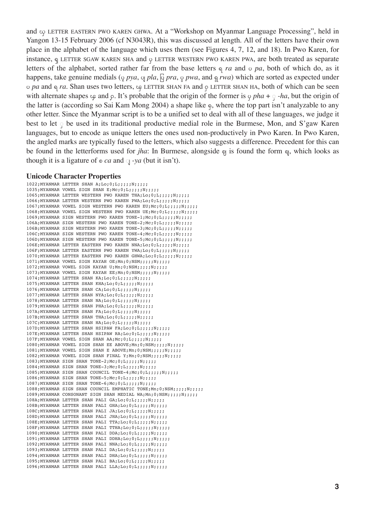and  $\infty$  LETTER EASTERN PWO KAREN GHWA. At a "Workshop on Myanmar Language Processing", held in Yangon 13-15 February 2006 (cf N3043R), this was discussed at length. All of the letters have their own place in the alphabet of the language which uses them (see Figures 4, 7, 12, and 18). In Pwo Karen, for instance,  $\eta$  LETTER SGAW KAREN SHA and  $\varphi$  LETTER WESTERN PWO KAREN PWA, are both treated as separate letters of the alphabet, sorted rather far from the base letters  $\mathfrak{q}$  *ra* and  $\circ$  *pa*, both of which do, as it happens, take genuine medials ( $\varphi$  *pya*,  $\varphi$  *pla*,  $\varphi$  *pwa*, and  $\varphi$  *rwa*) which are sorted as expected under o *pa* and *η ra*. Shan uses two letters,  $\varphi$  LETTER SHAN FA and  $\rho$  LETTER SHAN HA, both of which can be seen with alternate shapes  $\varphi$  and  $\varphi$ . It's probable that the origin of the former is  $\varphi$  *pha* +  $\varphi$  -*ha*, but the origin of the latter is (according so Sai Kam Mong 2004) a shape like  $\epsilon$ , where the top part isn't analyzable to any other letter. Since the Myanmar script is to be a unified set to deal with all of these languages, we judge it best to let  $\phi$  be used in its traditional productive medial role in the Burmese, Mon, and S'gaw Karen languages, but to encode as unique letters the ones used non-productively in Pwo Karen. In Pwo Karen, the angled marks are typically fused to the letters, which also suggests a difference. Precedent for this can be found in the letterforms used for *jha*: In Burmese, alongside  $\varphi$  is found the form  $\varphi$ , which looks as though it is a ligature of  $\circ$  *ca* and  $\circ$  *-ya* (but it isn't).

### **Unicode Character Properties**

1022: MYANMAR LETTER SHAN  $A;$ Lo; 0; L;;;;;N;;;;;;  $1035;$ MYANMAR VOWEL SIGN SHAN E;Mc;0;L;;;;;N;;;;;  $1065;$ MYANMAR LETTER WESTERN PWO KAREN THA;Lo;0;L;;;;;;;;;;;;  $1066$ ; MYANMAR LETTER WESTERN PWO KAREN PWA; $Lo$ ; $0$ ; $L$ ;;;;;; $N$ ;;;;; 1067;MYANMAR VOWEL SIGN WESTERN PWO KAREN EU; Mc; 0; L;;;;; ; N;;;;; 1068; MYANMAR VOWEL SIGN WESTERN PWO KAREN UE; Mc; 0; L;;;;; N;;;;;; 1069;MYANMAR SIGN WESTERN PWO KAREN TONE-1;Mc;0;L;;;;;;;;;;;;;  $106A;$ MYANMAR SIGN WESTERN PWO KAREN TONE-2; Mc; 0; L;;;;;;;;;;;;;;  $106B$ ; MYANMAR SIGN WESTERN PWO KAREN TONE-3; Mc;  $0: L:::::N::::;$  $106C$ : MYANMAR SIGN WESTERN PWO KAREN TONE-4; Mc; 0; L;;;;;;N;;;;; 106D; MYANMAR SIGN WESTERN PWO KAREN TONE-5; Mc; 0; L;;;;; N;;;;;  $106E$ ; MYANMAR LETTER EASTERN PWO KAREN NNA; $Lo$ ; $0$ ; $Li$ ;;;;;;;;;;;;;;;; 106F; MYANMAR LETTER EASTERN PWO KAREN YWA; Lo; 0; L;;;;;;;;;;;;;;;;;;;;;  $1070;$ MYANMAR LETTER EASTERN PWO KAREN GHWA;Lo;0;L;;;;;;;;;;;;; 1071;MYANMAR VOWEL SIGN KAYAH OE;Mn;0;NSM;;;;;N;;;;; 1072; MYANMAR VOWEL SIGN KAYAH U; Mn; 0; NSM;;;;;;;;;;;; 1073; MYANMAR VOWEL SIGN KAYAH EE; Mn; 0; NSM;;;;; ; N;;;;; 1074;MYANMAR LETTER SHAN KA;Lo;0;L;;;;;N;;;;;  $1075;$ MYANMAR LETTER SHAN KHA;Lo;0;L;;;;;;N;;;;; 1076;MYANMAR LETTER SHAN CA;Lo;0;L;;;;;N;;;;; 1077;MYANMAR LETTER SHAN NYA;Lo;0;L;;;;;N;;;;; 1078;MYANMAR LETTER SHAN NA;Lo;0;L;;;;;N;;;;; 1079;MYANMAR LETTER SHAN PHA;Lo;0;L;;;;;N;;;;;  $107A;$ MYANMAR LETTER SHAN FA;Lo;0;L;;;;;;;;;;;;; 107B; MYANMAR LETTER SHAN THA; Lo; 0; L;;;;;;N;;;;;  $107C;$ MYANMAR LETTER SHAN HA;Lo;0;L;;;;;;;;;;;; 107D; MYANMAR LETTER SHAN HSIPAW FA;Lo;0;L;;;;;;N;;;;;  $107E$ ; MYANMAR LETTER SHAN HSIPAW RA; $Lo$ ; $0$ ; $Li$ ;;;;;;;;;;;;;;;  $107F$ ; MYANMAR VOWEL SIGN SHAN AA; Mc;  $0;L$ ;;;;;;;;;;;; 1080;MYANMAR VOWEL SIGN SHAN EE ABOVE;Mn;0;NSM;;;;;N;;;;; 1081; MYANMAR VOWEL SIGN SHAN E ABOVE; Mn;0; NSM;;;;; N;;;;;; 1082; MYANMAR VOWEL SIGN SHAN FINAL Y: Mn: 0: NSM;;;;;;;;;;;;;;;;;;;;;;;;;;;;;;;;  $1083:$ MYANMAR SIGN SHAN TONE-2:Mc:0:L:::::N::::  $1084;$ MYANMAR SIGN SHAN TONE-3;Mc;0;L;;;;;N;;;;; 1085;MYANMAR SIGN SHAN COUNCIL TONE-4;Mc;0;L;;;;;N;;;;;  $1086;$ MYANMAR SIGN SHAN TONE-5;Mc;0;L;;;;;N;;;;;;  $1087;$ MYANMAR SIGN SHAN TONE-6;Mc;0;L;;;;;;N;;;;; 1088;MYANMAR SIGN SHAN COUNCIL EMPHATIC TONE;Mn;0;NSM;;;;;N;;;;; 1089;MYANMAR CONSONANT SIGN SHAN MEDIAL WA;Mn;0;NSM;;;;;N;;;;; 108A; MYANMAR LETTER SHAN PALI GA; Lo; 0; L;;;;;;N;;;;; 108B; MYANMAR LETTER SHAN PALI GHA; Lo; 0; L;;;;; ; N;;;;;;  $108C;$ MYANMAR LETTER SHAN PALI JA;Lo;0;L;;;;;;N;;;;;;  $108D$ ; MYANMAR LETTER SHAN PALI JHA: $Lo:0:L$ ;::::N;;;;; 108E: MYANMAR LETTER SHAN PALI TTA; Lo; 0; L;;;;;;N;;;;; 108F;MYANMAR LETTER SHAN PALI TTHA;Lo;0;L;;;;;N;;;;;  $1090;$ MYANMAR LETTER SHAN PALI DDA;Lo; $0;L;$ ;;;;;N;;;;; 1091; MYANMAR LETTER SHAN PALI DDHA; Lo; 0; L;;;;; ; N;;;;;;  $1092$ ; MYANMAR LETTER SHAN PALI NNA; Lo;  $0:$  L;;;;; N;;;;;; 1093:MYANMAR LETTER SHAN PALI DA;Lo;0;L;;;;;;;;;;;; 1094;MYANMAR LETTER SHAN PALI DHA;Lo;0;L;;;;;N;;;;; 1095;MYANMAR LETTER SHAN PALI BA;Lo;0;L;;;;;N;;;;;; 1096;MYANMAR LETTER SHAN PALI LLA;Lo;0;L;;;;;N;;;;;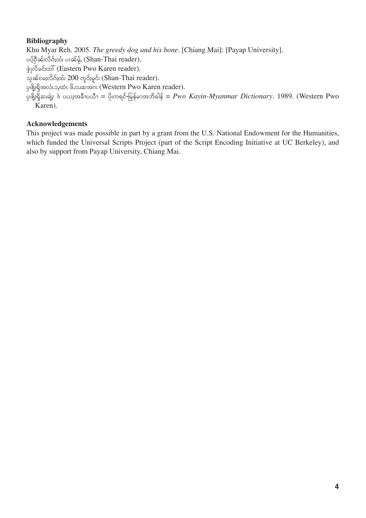# **Bibliography**

Khu Myar Reh. 2005. *The greedy dog and his bone*. [Chiang Mai]: [Payap University].  $i$ ပပ္ဒ်႙ီၼ်းလိၵ်ႈထံး ပၢၼ်မ့်, (Shan-Thai reader).  $\phi$ ∣လိခင်းထါ် (Eastern Pwo Karen reader). သွၼ်မေႈလိၵ်ႈထံး 200 လှုဝ်ႈမှုင်း (Shan-Thai reader).  $\varphi$ ตุ๊ะลุ๊ $\mathfrak s$ อ $\zeta$ อ๋ว $\zeta$ อ๋ $\zeta$   $\zeta$  (Western Pwo Karen reader).  $\tilde{\psi}$ ဖျိုးရှိဆ၊ချဲ့း ဒဲ ပယး့အခီၫပယီၫ = ပိုးကရင်-မြန်မာအဘိဓါန် =  $Pwo$  Kayin-Myanmar Dictionary. 1989. (Western Pwo Karen).

# **Acknowledgements**

This project was made possible in part by a grant from the U.S. National Endowment for the Humanities, which funded the Universal Scripts Project (part of the Script Encoding Initiative at UC Berkeley), and also by support from Payap University, Chiang Mai.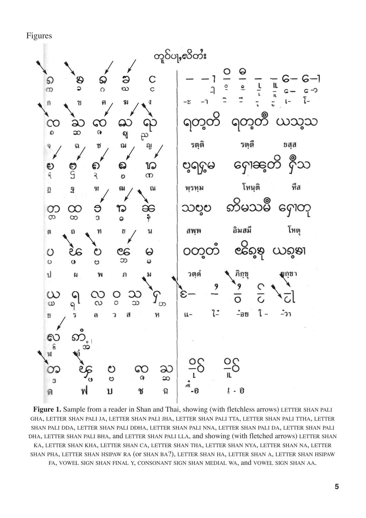Figures



Figure 1. Sample from a reader in Shan and Thai, showing (with fletchless arrows) LETTER SHAN PALI GHA, LETTER SHAN PALI JA, LETTER SHAN PALI JHA, LETTER SHAN PALI TTA, LETTER SHAN PALI TTHA, LETTER SHAN PALI DDA, LETTER SHAN PALI DDHA, LETTER SHAN PALI NNA, LETTER SHAN PALI DA, LETTER SHAN PALI DHA, LETTER SHAN PALI BHA, and LETTER SHAN PALI LLA, and showing (with fletched arrows) LETTER SHAN KA, LETTER SHAN KHA, LETTER SHAN CA, LETTER SHAN THA, LETTER SHAN NYA, LETTER SHAN NA, LETTER SHAN PHA, LETTER SHAN HSIPAW RA (or SHAN BA?), LETTER SHAN HA, LETTER SHAN A, LETTER SHAN HSIPAW FA, VOWEL SIGN SHAN FINAL Y, CONSONANT SIGN SHAN MEDIAL WA, and VOWEL SIGN SHAN AA.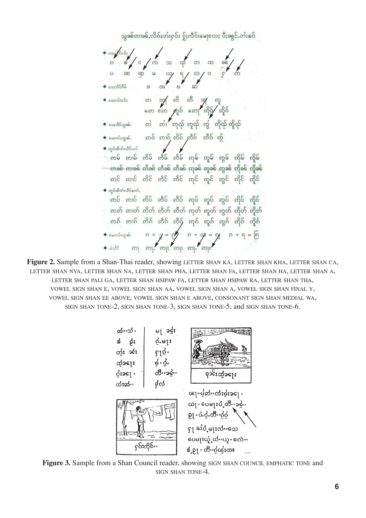သွခင်နားခင်းလိုက်းတီးစုဝ်း စိုးလိဝ်းမေုလေး ပီးခွင်းတီးစဝ် ဢ ဢၠဴ ဢီ ဢီ *ဢု* ဢူ<br>ကေး ဧဢ ႓ာူဝိ ဢောျဳ ဢိုဝွ်ဴ⁄ ဢူိဝ်  $\blacklozenge$  equiposes: ◆ ပေးအံ့သေးေတြ တို႔ အသံုး သံုး လိုက် အိုလ် အိုလ် ကာခင် စားခင် တိခင် တီခင် တီခင် တုခင် တူခင် တူခင် တိုခင် တိုခင် အင် အာင် အိင် အီင် အီင် အုင် အူင် အွင် အိုင် အိုင်  $\blacklozenge$  တွင်ယီတ်းသိင်စော်, ဓာပ် ဓာပ် ဓာပ် ဓာပ် ဓာပ် ရာပ် ရာပ် ရာပ် ရာပ် ရာပ် ု နာတ် နားတ် နာိတ် နာီတ် နာီတ် နာုတ် နာုတ် နာုတ် နာိုတ် နာိုတ် ့ တစ် တ)်စ် တိစ် တီစ် တီစ် တုစ် တူစ် တွစ် တိုစ် တို့စ် 

**Figure 2.** Sample from a Shan-Thai reader, showing LETTER SHAN KA, LETTER SHAN KHA, LETTER SHAN CA, LETTER SHAN NYA, LETTER SHAN NA, LETTER SHAN PHA, LETTER SHAN FA, LETTER SHAN HA, LETTER SHAN A, LETTER SHAN PALI GA, LETTER SHAN HSIPAW FA, LETTER SHAN HSIPAW RA, LETTER SHAN THA, VOWEL SIGN SHAN E, VOWEL SIGN SHAN AA, VOWEL SIGN SHAN A, VOWEL SIGN SHAN FINAL Y, VOWEL SIGN SHAN EE ABOVE, VOWEL SIGN SHAN E ABOVE, CONSONANT SIGN SHAN MEDIAL WA, SIGN SHAN TONE-2, SIGN SHAN TONE-3, SIGN SHAN TONE-5, and SIGN SHAN TONE-6.

**Figure 3.** Sample from a Shan Council reader, showing SIGN SHAN COUNCIL EMPHATIC TONE and SIGN SHAN TONE-4.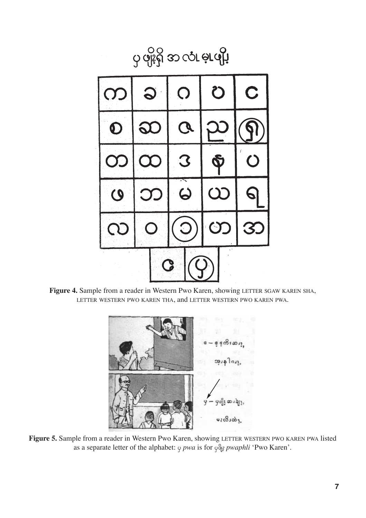

**Figure 4.** Sample from a reader in Western Pwo Karen, showing LETTER SGAW KAREN SHA, LETTER WESTERN PWO KAREN THA, and LETTER WESTERN PWO KAREN PWA.



**Figure 5.** Sample from a reader in Western Pwo Karen, showing LETTER WESTERN PWO KAREN PWA listed as a separate letter of the alphabet:  $\varphi$  *pwa* is for  $\varphi$ <sup>®</sup><sub>2</sub> *pwaphli* 'Pwo Karen'.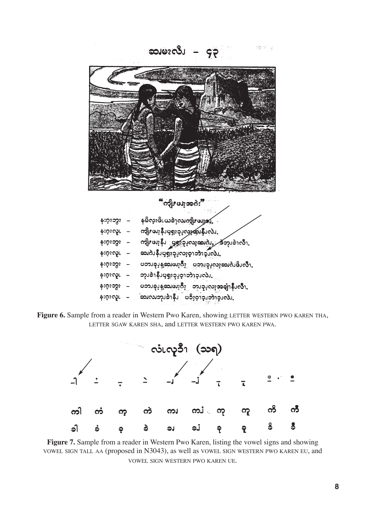ဆ)မ<sub>2</sub>လီ၊ – ၄၃ ္လွ ေ<br>မွ ေရး ေပးေ နးဝှးဘွး – နမိလူးဖိုးယူခဲ့ၫှလူကျွိုး**ဖ**ျှား နးဂူးလူ၊ – ကျီးဖူးနီ၊ပျရှူးခု၊့လွေ့ထူးနီ၊လဲ၊ နး၀ုံးလူ၊ – ဆျပ္ချန္းကိုးမ်ားတယ္။<br>နီး၀ုံးသီး – ယူးရားမွဴး ဒီမီးခ်ားတယ္။<br>နီး၀ုံးသီး – ဆာပ္ခုန္းကိုမ်ားတယ္ အဆက္ သည္။ န်းဝူးသွား – ပဘၤခု၊နဲ့ဆုံးဖူးလိုး ပဘၤဥ္မယူဆူးလဲဖြဲ႕လို႔

န်းဝှူးလူ၊ – ဘု၊ခဲ1နီ၊ပူရှူးခု၊့ခဲ့ၫွားခဲ့၊လဲ၊

- နးဝူးဘွား ပဘၤခု၊့န့ဆ၊ဖ၊ွဂီး ဘ၊၁ု၊လူအချေးနီ၊လီး
- န်းဝူးလူ၊ ဆေးလ၊ဘု၊ခဲ၊နီ၊ ပဒိုးဝူးခဲ့၊ဘုံခု၊လဲ၊

**Figure 6.** Sample from a reader in Western Pwo Karen, showing LETTER WESTERN PWO KAREN THA, LETTER SGAW KAREN SHA, and LETTER WESTERN PWO KAREN PWA.



**Figure 7.** Sample from a reader in Western Pwo Karen, listing the vowel signs and showing VOWEL SIGN TALL AA (proposed in N3043), as well as VOWEL SIGN WESTERN PWO KAREN EU, and VOWEL SIGN WESTERN PWO KAREN UE.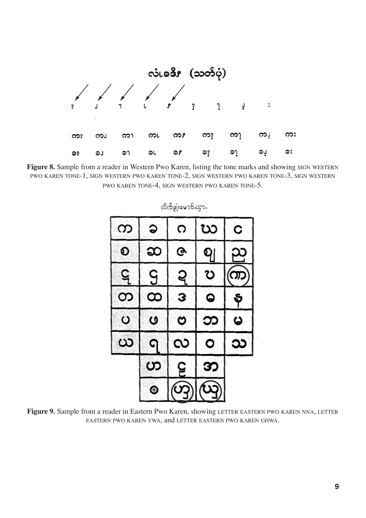

Figure 8. Sample from a reader in Western Pwo Karen, listing the tone marks and showing SIGN WESTERN PWO KAREN TONE-1, SIGN WESTERN PWO KAREN TONE-2, SIGN WESTERN PWO KAREN TONE-3, SIGN WESTERN PWO KAREN TONE-4, SIGN WESTERN PWO KAREN TONE-5.

| က | ၁         | ೧         | ဃ | C  |
|---|-----------|-----------|---|----|
| စ | ဆ         | <u>ତ୍</u> | ဈ |    |
| ဋ | ဌ         | ຊ         | Ω |    |
| တ | $\infty$  | З         | 0 | Ş  |
| ပ | ဖ         | ဗ         | ဘ | نا |
| ယ | G         | လ         | ٥ | သ  |
|   | ဟ         | ဠ         | ဘ |    |
|   | $\bullet$ | <u>()</u> |   |    |

လိုက်ဖျံးမောဝ်းယှား

**Figure 9.** Sample from a reader in Eastern Pwo Karen, showing LETTER EASTERN PWO KAREN NNA, LETTER EASTERN PWO KAREN YWA, and LETTER EASTERN PWO KAREN GHWA.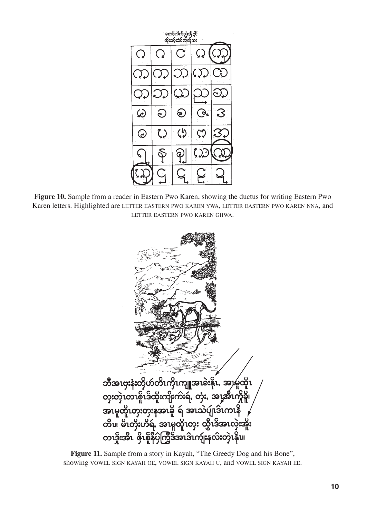

**Figure 10.** Sample from a reader in Eastern Pwo Karen, showing the ductus for writing Eastern Pwo Karen letters. Highlighted are LETTER EASTERN PWO KAREN YWA, LETTER EASTERN PWO KAREN NNA, and LETTER EASTERN PWO KAREN GHWA.



**Figure 11.** Sample from a story in Kayah, "The Greedy Dog and his Bone", showing VOWEL SIGN KAYAH OE, VOWEL SIGN KAYAH U, and VOWEL SIGN KAYAH EE.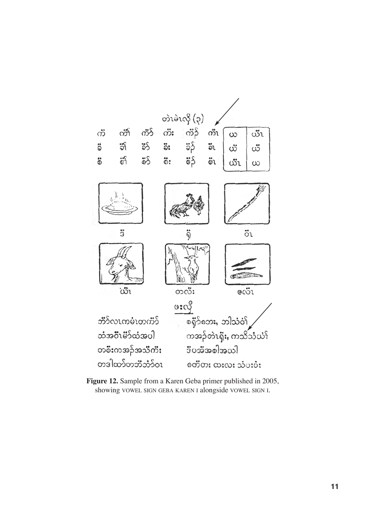

**Figure 12.** Sample from a Karen Geba primer published in 2005, showing VOWEL SIGN GEBA KAREN I alongside VOWEL SIGN I.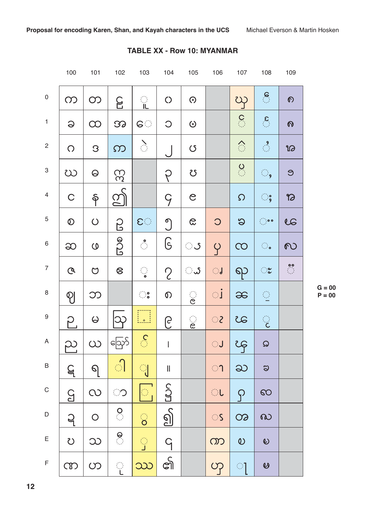|                           | 100            | 101                 | 102                       | 103                                                                                                                                                                                                                                                                                                                                           | 104                      | 105                | 106                 | 107                   | 108                                               | 109                      |
|---------------------------|----------------|---------------------|---------------------------|-----------------------------------------------------------------------------------------------------------------------------------------------------------------------------------------------------------------------------------------------------------------------------------------------------------------------------------------------|--------------------------|--------------------|---------------------|-----------------------|---------------------------------------------------|--------------------------|
| $\mathbf 0$               | $\infty$       | $\infty$            | C                         | $\frac{1}{10}$                                                                                                                                                                                                                                                                                                                                | $\circ$                  | $\odot$            |                     | $\infty$              |                                                   | $\mathcal{O}$            |
| $\mathbf{1}$              | $\Theta$       | $\infty$            | 39                        | G                                                                                                                                                                                                                                                                                                                                             | $\bigcirc$               | $\odot$            |                     | $\frac{1}{2}$         | $\mathcal{L}_{\mathcal{L}_{\mathcal{L}}}$         | $\boldsymbol{\Omega}$    |
| $\mathbf{2}$              | $\bigcirc$     | $\mathcal{S}$       | $\Omega$                  | $\sum_{i=1}^{\infty}$                                                                                                                                                                                                                                                                                                                         |                          | $\circ$            |                     |                       | $\frac{9}{2}$                                     | 12                       |
| $\ensuremath{\mathsf{3}}$ | 20             | $\Theta$            | 33                        |                                                                                                                                                                                                                                                                                                                                               | P                        | <u>US</u>          |                     | $\frac{Q}{\sqrt{2}}$  | ୍ତୁ                                               | $\Theta$                 |
| $\overline{4}$            | $\mathsf C$    | န                   | <u>තු</u>                 |                                                                                                                                                                                                                                                                                                                                               | $\varsigma$              | $\mathcal{C}$      |                     | $\Omega$              | း                                                 | $\boldsymbol{\vartheta}$ |
| $\mathbf 5$               | $\circledcirc$ | $\bigcirc$          | β                         | $\mathbf{C}$                                                                                                                                                                                                                                                                                                                                  | $\bigcirc$               | $\infty$           | $\circ$             | $\infty$              | $\ddot{\phantom{a}}$ : $\ddot{\phantom{a}}$ : 0.0 | 20                       |
| $\,6\,$                   | $\infty$       | $\mathsf O$         | 000                       |                                                                                                                                                                                                                                                                                                                                               | ၆                        | ंऽ                 | $\varphi$           | $\infty$              |                                                   | $\infty$                 |
| $\overline{7}$            | $\mathcal{Q}$  | $\bigcirc$          | 8                         |                                                                                                                                                                                                                                                                                                                                               | $\mathcal{C}$            | ್ಷ                 | ु                   | ရာ                    | ಃ                                                 | $\frac{00}{100}$         |
| $\,8\,$                   | $\mathcal{P}$  | ဘ                   |                           | $\begin{array}{c} \circ \\ \circ \circ \circ \end{array}$                                                                                                                                                                                                                                                                                     | $\mathcal{O}$            | $\ddot{\Omega}$    | $\mathbb{C} \Gamma$ | $\infty$              |                                                   |                          |
| $\boldsymbol{9}$          | ဉ              | $\pmb{\omega}$      |                           | $\left[\begin{smallmatrix} 1 & 1 \\ 1 & 1 \end{smallmatrix}\right]$                                                                                                                                                                                                                                                                           | ၉                        | $\frac{1}{\alpha}$ | $S^{\pm}$           | 35                    | ्                                                 |                          |
| A                         | ည              | $\infty$            | ဪ႞                        | $\mathcal{S}$                                                                                                                                                                                                                                                                                                                                 | $\bar{\Gamma}$           |                    | ा                   | ၾ                     | $\Omega$                                          |                          |
| $\, {\sf B}$              | $\varsigma$    | $\Theta$            | ी                         | $\begin{picture}(20,20) \put(0,0){\line(1,0){155}} \put(15,0){\line(1,0){155}} \put(15,0){\line(1,0){155}} \put(15,0){\line(1,0){155}} \put(15,0){\line(1,0){155}} \put(15,0){\line(1,0){155}} \put(15,0){\line(1,0){155}} \put(15,0){\line(1,0){155}} \put(15,0){\line(1,0){155}} \put(15,0){\line(1,0){155}} \put(15,0){\line(1,0){155}} \$ | $\, \parallel$           |                    | ា                   | ႀ                     | $\infty$                                          |                          |
| $\mathsf C$               | G              | $\infty$            | ි                         | $\overline{\mathbb{G}}_1$                                                                                                                                                                                                                                                                                                                     | SOL                      |                    | ा                   | $\varphi$             | $\infty$                                          |                          |
| $\mathsf D$               | $\overline{q}$ | $\bigcirc$          | $\frac{1}{2}$             | ି                                                                                                                                                                                                                                                                                                                                             | $\underline{\mathbb{S}}$ |                    | $\bigcirc$          | $\infty$              | $\infty$                                          |                          |
| $\mathsf E$               | $\mathcal{O}$  | $\infty$            | $\ddot{a}$                | $\frac{1}{\sqrt{2}}$                                                                                                                                                                                                                                                                                                                          | $\overline{q}$           |                    | ၮ                   | $\boldsymbol{\omega}$ | $\mathcal{Q}$                                     |                          |
| $\mathsf F$               | CD             | $\circlearrowright$ | $\mathbb{Q}^{\mathbb{Z}}$ | ဿ                                                                                                                                                                                                                                                                                                                                             | ၏                        |                    | O <sub>1</sub>      | ा                     | $\hat{\mathbf{v}}$                                |                          |

# **TABLE XX - Row 10: MYANMAR**

**G = 00**  $P = 00$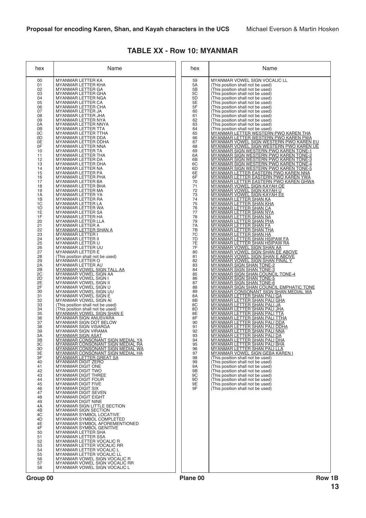| hex                                                                                                                                                                                                                                                                                                                                                                                                                                                                                                                                                                                                                                                                           | Name                                                                                                                                                                                                                                                                                                                                                                                                                                                                                                                                                                                                                                                                                                                                                                                                                                                                                                                                                                                                                                                                                                                                                                                                                                                                                                                                                                                                                                                                                                                                                                                                                                                                                                                                                                                                                                                                                                                                                                                                                                                                                                                                                                                                                                                                                                                                                                                                                                                               | hex                                                                                                                                                                                                                                                                                                                                                                                                                                                | Name                                                                                                                                                                                                                                                                                                                                                                                                                                                                                                                                                                                                                                                                                                                                                                                                                                                                                                                                                                                                                                                                                                                                                                                                                                                                                                                                                                                                                                                                                                                                                                                                                                                                                                                                                                                                                                                                                                                                                                                                                                                                                                                                                                                                                                                                                                                                                                                                                                                                                                                                                                                                                                                                                                                                                                                                                                            |
|-------------------------------------------------------------------------------------------------------------------------------------------------------------------------------------------------------------------------------------------------------------------------------------------------------------------------------------------------------------------------------------------------------------------------------------------------------------------------------------------------------------------------------------------------------------------------------------------------------------------------------------------------------------------------------|--------------------------------------------------------------------------------------------------------------------------------------------------------------------------------------------------------------------------------------------------------------------------------------------------------------------------------------------------------------------------------------------------------------------------------------------------------------------------------------------------------------------------------------------------------------------------------------------------------------------------------------------------------------------------------------------------------------------------------------------------------------------------------------------------------------------------------------------------------------------------------------------------------------------------------------------------------------------------------------------------------------------------------------------------------------------------------------------------------------------------------------------------------------------------------------------------------------------------------------------------------------------------------------------------------------------------------------------------------------------------------------------------------------------------------------------------------------------------------------------------------------------------------------------------------------------------------------------------------------------------------------------------------------------------------------------------------------------------------------------------------------------------------------------------------------------------------------------------------------------------------------------------------------------------------------------------------------------------------------------------------------------------------------------------------------------------------------------------------------------------------------------------------------------------------------------------------------------------------------------------------------------------------------------------------------------------------------------------------------------------------------------------------------------------------------------------------------------|----------------------------------------------------------------------------------------------------------------------------------------------------------------------------------------------------------------------------------------------------------------------------------------------------------------------------------------------------------------------------------------------------------------------------------------------------|-------------------------------------------------------------------------------------------------------------------------------------------------------------------------------------------------------------------------------------------------------------------------------------------------------------------------------------------------------------------------------------------------------------------------------------------------------------------------------------------------------------------------------------------------------------------------------------------------------------------------------------------------------------------------------------------------------------------------------------------------------------------------------------------------------------------------------------------------------------------------------------------------------------------------------------------------------------------------------------------------------------------------------------------------------------------------------------------------------------------------------------------------------------------------------------------------------------------------------------------------------------------------------------------------------------------------------------------------------------------------------------------------------------------------------------------------------------------------------------------------------------------------------------------------------------------------------------------------------------------------------------------------------------------------------------------------------------------------------------------------------------------------------------------------------------------------------------------------------------------------------------------------------------------------------------------------------------------------------------------------------------------------------------------------------------------------------------------------------------------------------------------------------------------------------------------------------------------------------------------------------------------------------------------------------------------------------------------------------------------------------------------------------------------------------------------------------------------------------------------------------------------------------------------------------------------------------------------------------------------------------------------------------------------------------------------------------------------------------------------------------------------------------------------------------------------------------------------------|
| 00<br>01<br>02<br>03<br>04<br>05<br>06<br>07<br>08<br>09<br>0A<br>0 <sub>B</sub><br>0C<br>0 <sub>D</sub><br>0E<br>0F<br>10<br>11<br>12<br>13<br>14<br>15<br>16<br>17<br>18<br>19<br>1A<br>1B<br>1 <sup>C</sup><br>1D<br>1E<br>1F<br>20<br>$\begin{array}{c} 21 \\ 22 \end{array}$<br>23<br>24<br>25<br>26<br>$\overline{27}$<br>28<br>29<br>2A<br>2B<br>$\overline{2}\overline{C}$<br>2D<br>2E<br>2F<br>30<br>31<br>32<br>33<br>34<br>35<br>36<br>37<br>38<br>39<br>3A<br>$\frac{3B}{3C}$<br>3D<br>3E<br>3F<br>40<br>41<br>42<br>43<br>44<br>45<br>46<br>47<br>48<br>49<br>4A<br>4B<br>4C<br>4D<br>4E<br>4F<br>50<br>51<br>52<br>53<br>54<br>55<br>56<br>57<br>58<br>Group 00 | <b>MYANMAR LETTER KA</b><br>MYANMAR LETTER KHA<br>MYANMAR LETTER GA<br>MYANMAR LETTER GHA<br><b>MYANMAR LETTER NGA</b><br>MYANMAR LETTER CA<br>MYANMAR LETTER CHA<br>MYANMAR LETTER JA<br>MYANMAR LETTER JHA<br>MYANMAR LETTER NYA<br>MYANMAR LETTER NNYA<br>MYANMAR LETTER TTA<br>MYANMAR LETTER TTHA<br>MYANMAR LETTER DDA<br>MYANMAR LETTER DDHA<br>MYANMAR LETTER NNA<br><b>MYANMAR LETTER TA</b><br>MYANMAR LETTER THA<br>MYANMAR LETTER DA<br>MYANMAR LETTER DHA<br>MYANMAR LETTER NA<br>MYANMAR LETTER PA<br>MYANMAR LETTER PHA<br>MYANMAR LETTER BA<br><b>MYANMAR LETTER BHA</b><br>MYANMAR LETTER MA<br>MYANMAR LETTER YA<br>MYANMAR LETTER RA<br>MYANMAR LETTER LA<br>MYANMAR LETTER WA<br>MYANMAR LETTER SA<br><b>MYANMAR LETTER HA</b><br>MYANMAR LETTER LLA<br><b>MYANMAR LETTER A</b><br><b>MYANMAR LETTER SHAN A</b><br><b>MYANMAR LETTER I</b><br><b>MYANMAR LETTER II</b><br>MYANMAR LETTER U<br>MYANMAR LETTER UU<br><b>MYANMAR LETTER E</b><br>(This position shall not be used)<br>MYANMAR LETTER O<br>MYANMAR LETTER AU<br><b>MYANMAR VOWEL SIGN TALL AA</b><br>MYANMAR VOWEL SIGN AA<br><b>MYANMAR VOWEL SIGN I</b><br>MYANMAR VOWEL SIGN II<br>MYANMAR VOWEL SIGN U<br>MYANMAR VOWEL SIGN UU<br>MYANMAR VOWEL SIGN E<br>MYANMAR VOWEL SIGN AI<br>(This position shall not be used)<br>(This position shall not be used)<br><u>MYANMAR VOWEL SIGN SHAN E</u><br>MYANMAR SIGN ANUSVARA<br>MYANMAR SIGN DOT BELOW<br><b>MYANMAR SIGN VISARGA</b><br>MYANMAR SIGN VIRAMA<br><u>MYANMAR SIGN ASAT</u><br><b>MYANMAR CONSONANT SIGN MEDIAL YA</b><br>MYANMAR CONSONANT SIGN MEDIAL RA<br><u>MYANMAR CONSONANT SIGN MEDIAL WA</u><br>MYANMAR CONSONANT SIGN MEDIAL HA<br><b>MYANMAR LETTER GREAT SA</b><br>MYANMAR DIGIT ZERO<br>MYANMAR DIGIT ONE<br><b>MYANMAR DIGIT TWO</b><br><b>MYANMAR DIGIT THREE</b><br><b>MYANMAR DIGIT FOUR</b><br><b>MYANMAR DIGIT FIVE</b><br><b>MYANMAR DIGIT SIX</b><br>MYANMAR DIGIT SEVEN<br><b>MYANMAR DIGIT EIGHT</b><br>MYANMAR DIGIT NINE<br>MYANMAR SIGN LITTLE SECTION<br>MYANMAR SIGN SECTION<br><b>MYANMAR SYMBOL LOCATIVE</b><br>MYANMAR SYMBOL COMPLETED<br>MYANMAR SYMBOL AFOREMENTIONED<br>MYANMAR SYMBOL GENITIVE<br><b>MYANMAR LETTER SHA</b><br><b>MYANMAR LETTER SSA</b><br>MYANMAR LETTER VOCALIC R<br>MYANMAR LETTER VOCALIC RR<br>MYANMAR LETTER VOCALIC L<br><b>MYANMAR LETTER VOCALIC LL</b><br>MYANMAR VOWEL SIGN VOCALIC R<br>MYANMAR VOWEL SIGN VOCALIC RR<br>MYANMAR VOWEL SIGN VOCALIC L | 59<br>5A<br>5B<br>5C<br>5D<br>5E<br>5F<br>60<br>61<br>62<br>63<br>64<br>65<br>66<br>67<br>68<br>69<br>6A<br>6B<br>6C<br>6D<br>6E<br>6F<br>70<br>71<br>72<br>73<br>74<br>75<br>76<br>77<br>78<br>79<br>7A<br>7B<br>7C<br>7D<br>7E<br>7F<br>80<br>81<br>82<br>83<br>84<br>85<br>86<br>87<br>88<br>89<br>8A<br>8B<br>8C<br>8D<br>8E<br>8F<br>90<br>91<br>92<br>93<br>94<br>95<br>96<br>97<br>98<br>99<br>9Α<br>9Β<br>9C<br>9D<br>9E<br>9F<br>Plane 00 | MYANMAR VOWEL SIGN VOCALIC LL<br>(This position shall not be used)<br>(This position shall not be used)<br>(This position shall not be used)<br>(This position shall not be used)<br>(This position shall not be used)<br>(This position shall not be used)<br>(This position shall not be used)<br>(This position shall not be used)<br>(This position shall not be used)<br>(This position shall not be used)<br>(This position shall not be used)<br>MYANMAR LETTER WESTERN PWO KAREN THA<br><u>MYANMAR LETTER WESTERN PWO KAREN PWA</u><br><u>MYANMAR VOWEL SIGN WESTERN PWO KAREN EU</u><br>MYANMAR VOWEL SIGN WESTERN PWO KAREN UE<br><u>MYANMAR SIGN WESTERN PWO KAREN TONE-1</u><br><b>MYANMAR SIGN WESTERN PWO KAREN TONE-2</b><br>MYANMAR SIGN WESTERN PWO KAREN TONE-3<br><u>MYANMAR SIGN WESTERN PWO KAREN TONE-4</u><br>MYANMAR SIGN WESTERN PWO KAREN TONE-5<br><u>MYANMAR LETTER EASTERN PWO KAREN NNA</u><br><u>MYANMAR LETTER EASTERN PWO KAREN YWA</u><br><u>MYANMAR LETTER EASTERN PWO KAREN GHWA</u><br><u>MYANMAR VOWEL SIGN KAYAH OE</u><br>MYANMAR VOWEL SIGN KAYAH U<br><b>MYANMAR VOWEL SIGN KAYAH EE</b><br><u>MYANMAR LETTER SHAN KA</u><br><b>MYANMAR LETTER SHAN KHA</b><br><u>MYANMAR LETTER SHAN CA</u><br><u>MYANMAR LETTER SHAN NYA</u><br><b>MYANMAR LETTER SHAN NA</b><br><u>MYANMAR LETTER SHAN PHA</u><br><b>MYANMAR LETTER SHAN FA</b><br><b>MYANMAR LETTER SHAN THA</b><br><b>MYANMAR LETTER SHAN HA</b><br><u>MYANMAR LETTER SHAN HSIPAW FA</u><br><u>MYANMAR LETTER SHAN HSIPAW RA</u><br><b>MYANMAR VOWEL SIGN SHAN AA</b><br><b>MYANMAR VOWEL SIGN SHAN EE ABOVE</b><br><u>MYANMAR VOWEL SIGN SHAN E ABOVE</u><br>MYANMAR VOWEL SIGN SHAN FINAL Y<br><b>MYANMAR SIGN SHAN TONE-2</b><br><b>MYANMAR SIGN SHAN TONE-3</b><br><b>MYANMAR SIGN SHAN COUNCIL TONE-4</b><br><u>MYANMAR SIGN SHAN TONE-5</u><br><b>MYANMAR SIGN SHAN TONE-6</b><br><b>MYANMAR SIGN SHAN COUNCIL EMPHATIC TONE</b><br><u>MYANMAR CONSONANT SIGN SHAN MEDIAL WA</u><br>MYANMAR LETTER SHAN PALI GA<br>MYANMAR LETTER SHAN PALI GHA<br>MYANMAR LETTER SHAN PALI JA<br><b>MYANMAR LETTER SHAN PALI JHA</b><br><b>MYANMAR LETTER SHAN PALI TTA</b><br><b>MYANMAR LETTER SHAN PALI TTHA</b><br><u>MYANMAR LETTER SHAN PALI DDA</u><br><u>MYANMAR LETTER SHAN PALI DDHA</u><br><u>MYANMAR LETTER SHAN PALI NNA</u><br><b>MYANMAR LETTER SHAN PALI DA</b><br><b>MYANMAR LETTER SHAN PALI DHA</b><br><u>MYANMAR LETTER SHAN PALI BHA</u><br><u>MYANMAR LETTER SHAN PALI LLA</u><br>MYANMAR VOWEL SIGN GEBA KAREN I<br>(This position shall not be used)<br>(This position shall not be used)<br>(This position shall not be used)<br>(This position shall not be used)<br>(This position shall not be used)<br>(This position shall not be used)<br>(This position shall not be used)<br>(This position shall not be used)<br>Row 1B |

### **TABLE XX - Row 10: MYANMAR**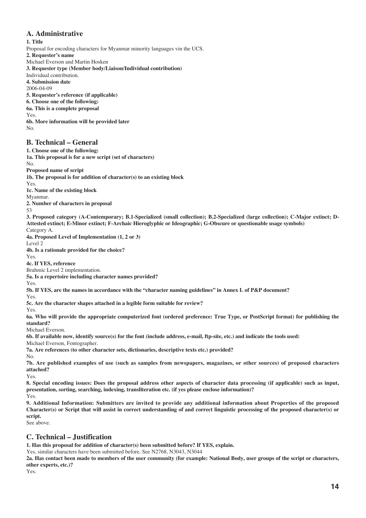## **A. Administrative**

#### **1. Title**

Proposal for encoding characters for Myanmar minority languages vin the UCS. **2. Requester's name** Michael Everson and Martin Hosken **3. Requester type (Member body/Liaison/Individual contribution)** Individual contribution. **4. Submission date** 2006-04-09 **5. Requester's reference (if applicable) 6. Choose one of the following: 6a. This is a complete proposal** Yes. **6b. More information will be provided later**

No.

No.

53

Yes.

Yes.

### **B. Technical – General**

**1. Choose one of the following: 1a. This proposal is for a new script (set of characters) Proposed name of script 1b. The proposal is for addition of character(s) to an existing block** Yes. **1c. Name of the existing block** Myanmar. **2. Number of characters in proposal 3. Proposed category (A-Contemporary; B.1-Specialized (small collection); B.2-Specialized (large collection); C-Major extinct; D-Attested extinct; E-Minor extinct; F-Archaic Hieroglyphic or Ideographic; G-Obscure or questionable usage symbols)** Category A. **4a. Proposed Level of Implementation (1, 2 or 3)** Level 2 **4b. Is a rationale provided for the choice?** Yes. **4c. If YES, reference** Brahmic Level 2 implementation. **5a. Is a repertoire including character names provided? 5b. If YES, are the names in accordance with the "character naming guidelines" in Annex L of P&P document?** Yes. **5c. Are the character shapes attached in a legible form suitable for review? 6a. Who will provide the appropriate computerized font (ordered preference: True Type, or PostScript format) for publishing the standard?** Michael Everson. **6b. If available now, identify source(s) for the font (include address, e-mail, ftp-site, etc.) and indicate the tools used:** Michael Everson, Fontographer. **7a. Are references (to other character sets, dictionaries, descriptive texts etc.) provided?**

**7b. Are published examples of use (such as samples from newspapers, magazines, or other sources) of proposed characters attached?**

Yes.

No.

**8. Special encoding issues: Does the proposal address other aspects of character data processing (if applicable) such as input, presentation, sorting, searching, indexing, transliteration etc. (if yes please enclose information)?** Yes.

**9. Additional Information: Submitters are invited to provide any additional information about Properties of the proposed Character(s) or Script that will assist in correct understanding of and correct linguistic processing of the proposed character(s) or script.**

See above.

## **C. Technical – Justification**

**1. Has this proposal for addition of character(s) been submitted before? If YES, explain.**

Yes, similar characters have been submitted before. See N2768, N3043, N3044

**2a. Has contact been made to members of the user community (for example: National Body, user groups of the script or characters, other experts, etc.)?**

Yes.